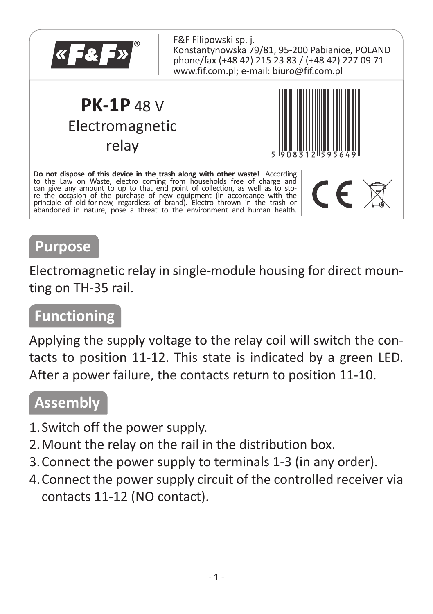

### **Purpose**

Electromagnetic relay in single-module housing for direct mounting on TH-35 rail.

#### **Functioning**

Applying the supply voltage to the relay coil will switch the contacts to position 11-12. This state is indicated by a green LED. After a power failure, the contacts return to position 11-10.

### **Assembly**

- 1.Switch off the power supply.
- 2.Mount the relay on the rail in the distribution box.
- 3.Connect the power supply to terminals 1-3 (in any order).
- 4.Connect the power supply circuit of the controlled receiver via contacts 11-12 (NO contact).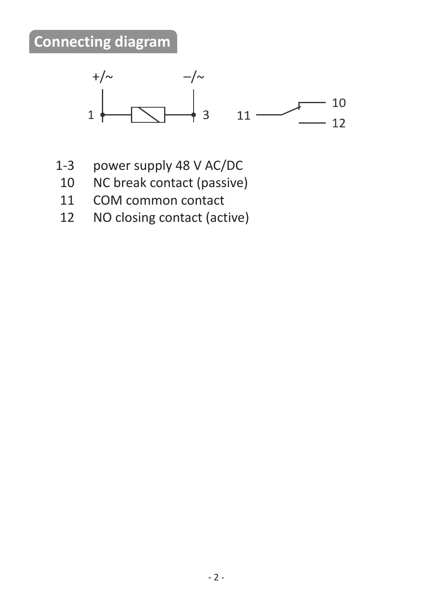## **Connecting diagram**



- 1-3 power supply 48 V AC/DC<br>10 NC break contact (passive
	- 10 NC break contact (passive)<br>11 COM common contact
	- COM common contact
	- 12 NO closing contact (active)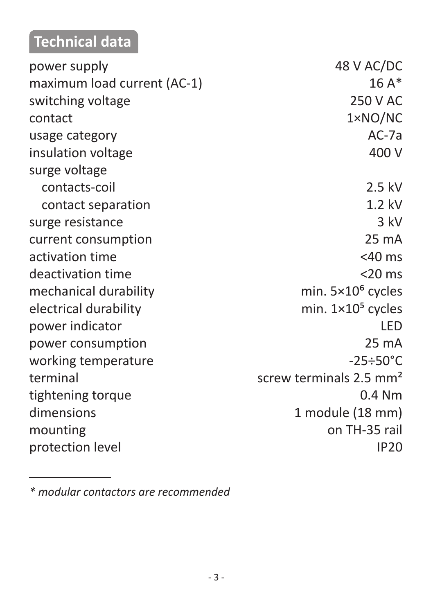# **Technical data**

| power supply                | 48 V AC/DC                          |
|-----------------------------|-------------------------------------|
| maximum load current (AC-1) | $16A*$                              |
| switching voltage           | 250 V AC                            |
| contact                     | 1×NO/NC                             |
| usage category              | $AC-7a$                             |
| insulation voltage          | 400 V                               |
| surge voltage               |                                     |
| contacts-coil               | 2.5 kV                              |
| contact separation          | $1.2$ kV                            |
| surge resistance            | 3 kV                                |
| current consumption         | 25 mA                               |
| activation time             | $<$ 40 ms                           |
| deactivation time           | $<$ 20 ms                           |
| mechanical durability       | min. $5 \times 10^6$ cycles         |
| electrical durability       | min. $1 \times 10^5$ cycles         |
| power indicator             | LED                                 |
| power consumption           | 25 mA                               |
| working temperature         | $-25 \div 50^{\circ}$ C             |
| terminal                    | screw terminals 2.5 mm <sup>2</sup> |
| tightening torque           | $0.4$ Nm                            |
| dimensions                  | 1 module (18 mm)                    |
| mounting                    | on TH-35 rail                       |
| protection level            | <b>IP20</b>                         |
|                             |                                     |

*<sup>\*</sup> modular contactors are recommended*

**Contract Contract**